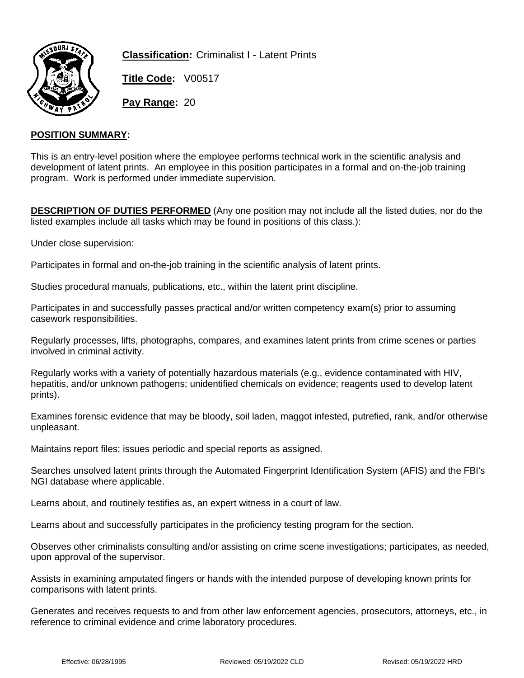

**Classification:** Criminalist I - Latent Prints

**Title Code:** V00517

**Pay Range:** 20

### **POSITION SUMMARY:**

This is an entry-level position where the employee performs technical work in the scientific analysis and development of latent prints. An employee in this position participates in a formal and on-the-job training program. Work is performed under immediate supervision.

**DESCRIPTION OF DUTIES PERFORMED** (Any one position may not include all the listed duties, nor do the listed examples include all tasks which may be found in positions of this class.):

Under close supervision:

Participates in formal and on-the-job training in the scientific analysis of latent prints.

Studies procedural manuals, publications, etc., within the latent print discipline.

Participates in and successfully passes practical and/or written competency exam(s) prior to assuming casework responsibilities.

Regularly processes, lifts, photographs, compares, and examines latent prints from crime scenes or parties involved in criminal activity.

Regularly works with a variety of potentially hazardous materials (e.g., evidence contaminated with HIV, hepatitis, and/or unknown pathogens; unidentified chemicals on evidence; reagents used to develop latent prints).

Examines forensic evidence that may be bloody, soil laden, maggot infested, putrefied, rank, and/or otherwise unpleasant.

Maintains report files; issues periodic and special reports as assigned.

Searches unsolved latent prints through the Automated Fingerprint Identification System (AFIS) and the FBI's NGI database where applicable.

Learns about, and routinely testifies as, an expert witness in a court of law.

Learns about and successfully participates in the proficiency testing program for the section.

Observes other criminalists consulting and/or assisting on crime scene investigations; participates, as needed, upon approval of the supervisor.

Assists in examining amputated fingers or hands with the intended purpose of developing known prints for comparisons with latent prints.

Generates and receives requests to and from other law enforcement agencies, prosecutors, attorneys, etc., in reference to criminal evidence and crime laboratory procedures.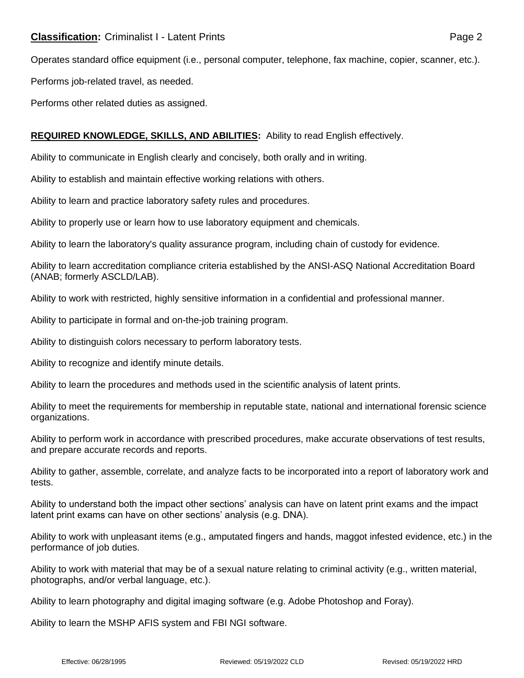Operates standard office equipment (i.e., personal computer, telephone, fax machine, copier, scanner, etc.).

Performs job-related travel, as needed.

Performs other related duties as assigned.

# **REQUIRED KNOWLEDGE, SKILLS, AND ABILITIES:** Ability to read English effectively.

Ability to communicate in English clearly and concisely, both orally and in writing.

Ability to establish and maintain effective working relations with others.

Ability to learn and practice laboratory safety rules and procedures.

Ability to properly use or learn how to use laboratory equipment and chemicals.

Ability to learn the laboratory's quality assurance program, including chain of custody for evidence.

Ability to learn accreditation compliance criteria established by the ANSI-ASQ National Accreditation Board (ANAB; formerly ASCLD/LAB).

Ability to work with restricted, highly sensitive information in a confidential and professional manner.

Ability to participate in formal and on-the-job training program.

Ability to distinguish colors necessary to perform laboratory tests.

Ability to recognize and identify minute details.

Ability to learn the procedures and methods used in the scientific analysis of latent prints.

Ability to meet the requirements for membership in reputable state, national and international forensic science organizations.

Ability to perform work in accordance with prescribed procedures, make accurate observations of test results, and prepare accurate records and reports.

Ability to gather, assemble, correlate, and analyze facts to be incorporated into a report of laboratory work and tests.

Ability to understand both the impact other sections' analysis can have on latent print exams and the impact latent print exams can have on other sections' analysis (e.g. DNA).

Ability to work with unpleasant items (e.g., amputated fingers and hands, maggot infested evidence, etc.) in the performance of job duties.

Ability to work with material that may be of a sexual nature relating to criminal activity (e.g., written material, photographs, and/or verbal language, etc.).

Ability to learn photography and digital imaging software (e.g. Adobe Photoshop and Foray).

Ability to learn the MSHP AFIS system and FBI NGI software.